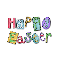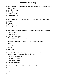## *The Easter Story Quiz*

- *1. What name is given to the Sunday when crowds gathered for Jesus?*
- *a. Good Sunday*
- *b. Palm Sunday*
- *c. Easter Sunday*
- *d. Christmas Day*
- *2. What was laid down on the floor for Jesus to walk over? a. Sand b. Flowers c. Palm Leaves*
- *d. Carpet*
- *3. What was the reaction of the crowd when they saw Jesus?*
- *a.They cheered.*
- *b. They booed.*
- *c. They walked away.*
- *d. They threw things at him.*
- *4. What were Jesus' friends and followers called?*
- *a. Buddies*
- *b. Disciples*
- *c. Mates.*
- *d. Enemies.*
- *5. On the Thursday of Holy Week, Jesus and his friends had a meal. What is it famously known as?*
- *a.The First Breakfast.*
- *b. The Next Lunch.*
- *c. The Later Dinner.*
- *d. The Last Supper.*

*6. How many people attended this meal?*

- *a.11*
- *b. 12*
- *c. 13*
- *d.14*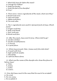*7. What did Jesus do before the meal? a. Change his clothes? b. Wash his hands? c. Wash the feet of his disciples? d.Pray?*

 *8. There were 2 main ingredients of the meal, what were they? a. Bread and wine. b. Fish and chips. c. Apples and pears. d. Tea and cake.*

*9. The 2 ingredients were said to represent parts of Jesus. Which parts? a. Fingers and toes. b. Body and blood. c. Hair and eyes. d. Blood and skin.*

*10. After this meal, Jesus went to pray. Where did he go? a. Garden of Eden. b. Garden of Gethsemane. c. A Church. d. A quiet place.*

*11. While Jesus prayed, Peter, James and John did what? a. Prayed with Him. b. Kept watch for people. c. Fell asleep. d. Left Him there alone.*

 *12. What was the name of the disciple who chose this place to betray Jesus?*

 *a. Peter. b. James. c. Judas. d. Simon.*

*13. How did Jesus react to the news that He was to be arrested? a. He cried. b. He ran away. c. He accepted it.*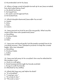*d. He pretended not to be Jesus.*

*14. When a large crowd of people turned up to see Jesus arrested, how did Judas betray him? a. He shook his hand. b. He kissed him. c. He used a sword against him. d. He kicked him.*

*15. Which disciple disowned Jesus after his arrest? a. James. b. John. c. Peter. d. Simon.*

*16. Jesus was put on trial to see if he was guilty. What was the name of the man who questioned Jesus? a. Barabbas. b. Pontius Pilate. c. Judas. d. Peter.*

*17. Jesus was not found guilty but the people wanted him to be crucified anyway. They released a prisoner to keep the crowds happy. Who was released? a. Barabbas. b. Pontius Pilate. c. Judas. d. Peter.*

*18. Jesus was led away to be crucified. How was he attached to the wooden cross? a. Stuck on with glue. b. Nails hammered through his hands and feet. c. Hung on with his hands. d. Attached by his clothes.*

*19. What did Jesus say just before he died? a. "It is finished!" b. "I must go now." c. "It is time to die." d. "The end is near."*